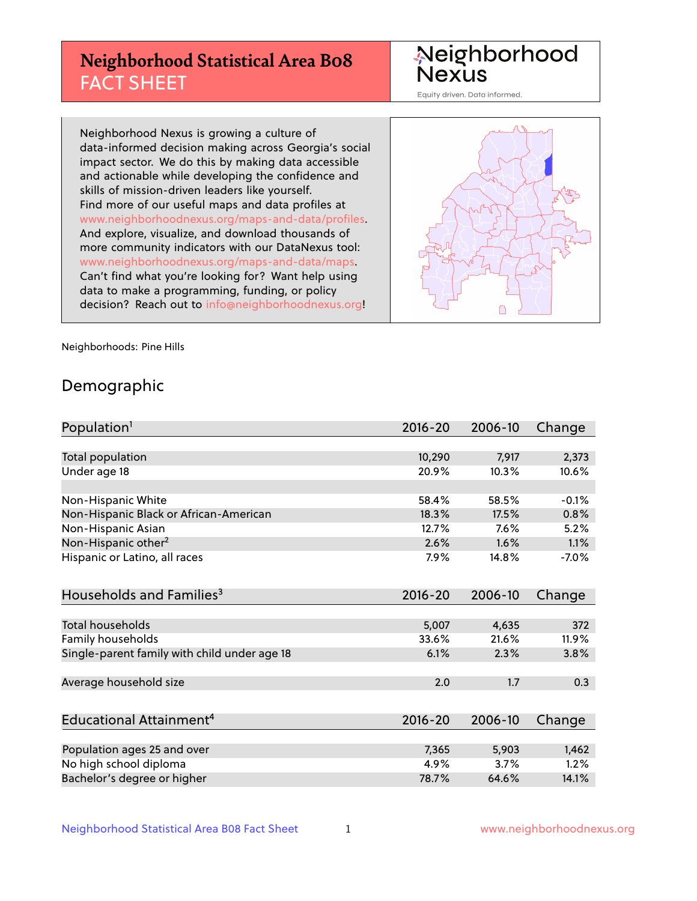## **Neighborhood Statistical Area B08** FACT SHEET

Neighborhood Nexus

Equity driven. Data informed.

Neighborhood Nexus is growing a culture of data-informed decision making across Georgia's social impact sector. We do this by making data accessible and actionable while developing the confidence and skills of mission-driven leaders like yourself. Find more of our useful maps and data profiles at www.neighborhoodnexus.org/maps-and-data/profiles. And explore, visualize, and download thousands of more community indicators with our DataNexus tool: www.neighborhoodnexus.org/maps-and-data/maps. Can't find what you're looking for? Want help using data to make a programming, funding, or policy decision? Reach out to [info@neighborhoodnexus.org!](mailto:info@neighborhoodnexus.org)



Neighborhoods: Pine Hills

### Demographic

| Population <sup>1</sup>                      | $2016 - 20$ | 2006-10 | Change  |
|----------------------------------------------|-------------|---------|---------|
|                                              |             |         |         |
| Total population                             | 10,290      | 7,917   | 2,373   |
| Under age 18                                 | 20.9%       | 10.3%   | 10.6%   |
|                                              |             |         |         |
| Non-Hispanic White                           | 58.4%       | 58.5%   | $-0.1%$ |
| Non-Hispanic Black or African-American       | 18.3%       | 17.5%   | 0.8%    |
| Non-Hispanic Asian                           | 12.7%       | 7.6%    | 5.2%    |
| Non-Hispanic other <sup>2</sup>              | 2.6%        | 1.6%    | 1.1%    |
| Hispanic or Latino, all races                | 7.9%        | 14.8%   | $-7.0%$ |
|                                              |             |         |         |
| Households and Families <sup>3</sup>         | $2016 - 20$ | 2006-10 | Change  |
|                                              |             |         |         |
| <b>Total households</b>                      | 5,007       | 4,635   | 372     |
| Family households                            | 33.6%       | 21.6%   | 11.9%   |
| Single-parent family with child under age 18 | 6.1%        | 2.3%    | 3.8%    |
|                                              |             |         |         |
| Average household size                       | 2.0         | 1.7     | 0.3     |
|                                              |             |         |         |
| Educational Attainment <sup>4</sup>          | $2016 - 20$ | 2006-10 | Change  |
|                                              |             |         |         |
| Population ages 25 and over                  | 7,365       | 5,903   | 1,462   |
| No high school diploma                       | 4.9%        | 3.7%    | 1.2%    |
| Bachelor's degree or higher                  | 78.7%       | 64.6%   | 14.1%   |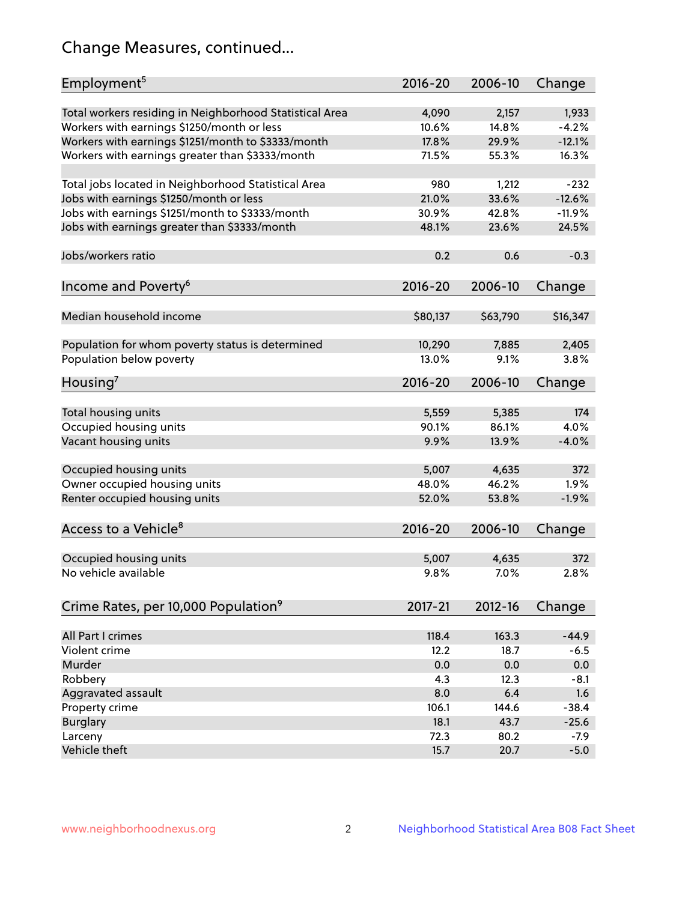## Change Measures, continued...

| Employment <sup>5</sup>                                 | 2016-20     | 2006-10  | Change   |
|---------------------------------------------------------|-------------|----------|----------|
| Total workers residing in Neighborhood Statistical Area | 4,090       | 2,157    | 1,933    |
| Workers with earnings \$1250/month or less              | 10.6%       | 14.8%    | $-4.2%$  |
| Workers with earnings \$1251/month to \$3333/month      | 17.8%       | 29.9%    | $-12.1%$ |
| Workers with earnings greater than \$3333/month         | 71.5%       | 55.3%    | 16.3%    |
|                                                         |             |          |          |
| Total jobs located in Neighborhood Statistical Area     | 980         | 1,212    | $-232$   |
| Jobs with earnings \$1250/month or less                 | 21.0%       | 33.6%    | $-12.6%$ |
| Jobs with earnings \$1251/month to \$3333/month         | 30.9%       | 42.8%    | $-11.9%$ |
| Jobs with earnings greater than \$3333/month            | 48.1%       | 23.6%    | 24.5%    |
|                                                         |             |          |          |
| Jobs/workers ratio                                      | 0.2         | 0.6      | $-0.3$   |
|                                                         |             |          |          |
| Income and Poverty <sup>6</sup>                         | 2016-20     | 2006-10  | Change   |
|                                                         |             |          |          |
| Median household income                                 | \$80,137    | \$63,790 | \$16,347 |
|                                                         |             |          |          |
| Population for whom poverty status is determined        | 10,290      | 7,885    | 2,405    |
| Population below poverty                                | 13.0%       | 9.1%     | 3.8%     |
|                                                         |             |          |          |
| Housing <sup>7</sup>                                    | $2016 - 20$ | 2006-10  | Change   |
|                                                         |             |          |          |
| Total housing units                                     | 5,559       | 5,385    | 174      |
| Occupied housing units                                  | 90.1%       | 86.1%    | 4.0%     |
| Vacant housing units                                    | 9.9%        | 13.9%    | $-4.0%$  |
|                                                         |             |          |          |
| Occupied housing units                                  | 5,007       | 4,635    | 372      |
| Owner occupied housing units                            | 48.0%       | 46.2%    | 1.9%     |
| Renter occupied housing units                           | 52.0%       | 53.8%    | $-1.9%$  |
|                                                         |             |          |          |
| Access to a Vehicle <sup>8</sup>                        | $2016 - 20$ | 2006-10  | Change   |
|                                                         |             |          |          |
| Occupied housing units                                  | 5,007       | 4,635    | 372      |
| No vehicle available                                    | 9.8%        | 7.0%     | 2.8%     |
|                                                         |             |          |          |
| Crime Rates, per 10,000 Population <sup>9</sup>         | 2017-21     | 2012-16  | Change   |
|                                                         |             |          |          |
| All Part I crimes                                       | 118.4       | 163.3    | $-44.9$  |
| Violent crime                                           | 12.2        | 18.7     | $-6.5$   |
| Murder                                                  | 0.0         | 0.0      | 0.0      |
| Robbery                                                 | 4.3         | 12.3     | $-8.1$   |
| Aggravated assault                                      | 8.0         | 6.4      | 1.6      |
| Property crime                                          | 106.1       | 144.6    | $-38.4$  |
| <b>Burglary</b>                                         | 18.1        | 43.7     | $-25.6$  |
| Larceny                                                 | 72.3        | 80.2     | $-7.9$   |
| Vehicle theft                                           | 15.7        | 20.7     | $-5.0$   |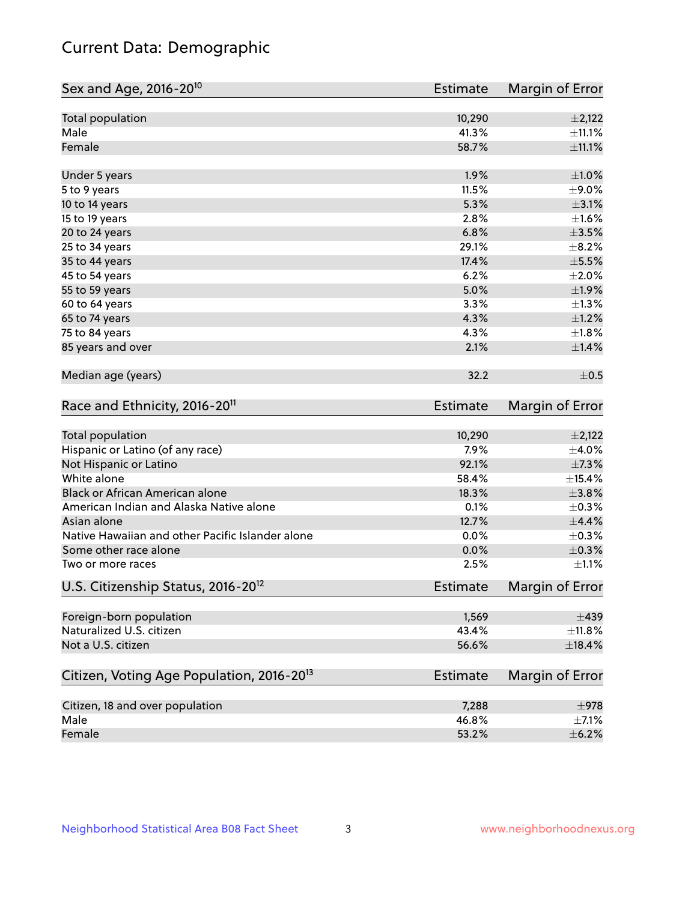## Current Data: Demographic

| Sex and Age, 2016-20 <sup>10</sup>                    | <b>Estimate</b> | Margin of Error |
|-------------------------------------------------------|-----------------|-----------------|
| Total population                                      | 10,290          | $\pm 2,122$     |
| Male                                                  | 41.3%           | ±11.1%          |
| Female                                                | 58.7%           | ±11.1%          |
| Under 5 years                                         | 1.9%            | $\pm 1.0\%$     |
| 5 to 9 years                                          | 11.5%           | $\pm$ 9.0%      |
| 10 to 14 years                                        | 5.3%            | $\pm$ 3.1%      |
| 15 to 19 years                                        | 2.8%            | $\pm 1.6\%$     |
| 20 to 24 years                                        | 6.8%            | $\pm$ 3.5%      |
| 25 to 34 years                                        | 29.1%           | $\pm$ 8.2%      |
| 35 to 44 years                                        | 17.4%           | $\pm$ 5.5%      |
| 45 to 54 years                                        | 6.2%            | ±2.0%           |
| 55 to 59 years                                        | 5.0%            | ±1.9%           |
| 60 to 64 years                                        | 3.3%            | $\pm 1.3\%$     |
| 65 to 74 years                                        | 4.3%            | $\pm 1.2\%$     |
| 75 to 84 years                                        | 4.3%            | $\pm1.8\%$      |
| 85 years and over                                     | 2.1%            | ±1.4%           |
| Median age (years)                                    | 32.2            | $\pm$ 0.5       |
| Race and Ethnicity, 2016-20 <sup>11</sup>             | <b>Estimate</b> | Margin of Error |
| <b>Total population</b>                               | 10,290          | $\pm 2,122$     |
| Hispanic or Latino (of any race)                      | 7.9%            | $\pm$ 4.0%      |
| Not Hispanic or Latino                                | 92.1%           | ±7.3%           |
| White alone                                           | 58.4%           | ±15.4%          |
| Black or African American alone                       | 18.3%           | $\pm 3.8\%$     |
| American Indian and Alaska Native alone               | 0.1%            | $\pm$ 0.3%      |
| Asian alone                                           | 12.7%           | $\pm$ 4.4%      |
| Native Hawaiian and other Pacific Islander alone      | 0.0%            | $\pm$ 0.3%      |
| Some other race alone                                 | 0.0%            | $\pm$ 0.3%      |
| Two or more races                                     | 2.5%            | $\pm 1.1\%$     |
| U.S. Citizenship Status, 2016-20 <sup>12</sup>        | <b>Estimate</b> | Margin of Error |
| Foreign-born population                               | 1,569           | $\pm 439$       |
| Naturalized U.S. citizen                              | 43.4%           | ±11.8%          |
| Not a U.S. citizen                                    | 56.6%           | $\pm$ 18.4%     |
| Citizen, Voting Age Population, 2016-20 <sup>13</sup> | <b>Estimate</b> | Margin of Error |
| Citizen, 18 and over population                       | 7,288           | $\pm$ 978       |
| Male                                                  | 46.8%           | $\pm$ 7.1%      |
| Female                                                | 53.2%           | $\pm$ 6.2%      |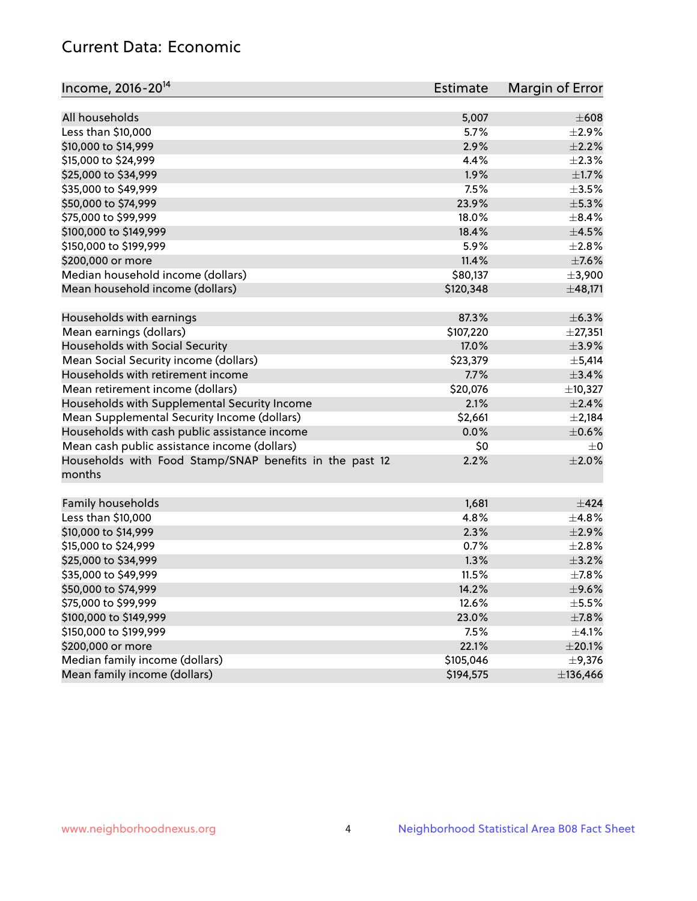## Current Data: Economic

| Income, 2016-20 <sup>14</sup>                                     | Estimate  | Margin of Error |
|-------------------------------------------------------------------|-----------|-----------------|
|                                                                   |           |                 |
| All households                                                    | 5,007     | $\pm 608$       |
| Less than \$10,000                                                | 5.7%      | $\pm 2.9\%$     |
| \$10,000 to \$14,999                                              | 2.9%      | $\pm 2.2\%$     |
| \$15,000 to \$24,999                                              | 4.4%      | $\pm 2.3\%$     |
| \$25,000 to \$34,999                                              | 1.9%      | $\pm 1.7\%$     |
| \$35,000 to \$49,999                                              | 7.5%      | $\pm 3.5\%$     |
| \$50,000 to \$74,999                                              | 23.9%     | $\pm$ 5.3%      |
| \$75,000 to \$99,999                                              | 18.0%     | $\pm$ 8.4%      |
| \$100,000 to \$149,999                                            | 18.4%     | $\pm 4.5\%$     |
| \$150,000 to \$199,999                                            | 5.9%      | $\pm 2.8\%$     |
| \$200,000 or more                                                 | 11.4%     | $\pm$ 7.6%      |
| Median household income (dollars)                                 | \$80,137  | $\pm$ 3,900     |
| Mean household income (dollars)                                   | \$120,348 | ±48,171         |
| Households with earnings                                          | 87.3%     | ±6.3%           |
| Mean earnings (dollars)                                           | \$107,220 | ±27,351         |
| Households with Social Security                                   | 17.0%     | $\pm$ 3.9%      |
| Mean Social Security income (dollars)                             | \$23,379  | $\pm$ 5,414     |
| Households with retirement income                                 | 7.7%      | ±3.4%           |
| Mean retirement income (dollars)                                  | \$20,076  | ±10,327         |
| Households with Supplemental Security Income                      | 2.1%      | ±2.4%           |
| Mean Supplemental Security Income (dollars)                       | \$2,661   | $\pm 2,184$     |
| Households with cash public assistance income                     | 0.0%      | $\pm$ 0.6%      |
| Mean cash public assistance income (dollars)                      | \$0       | $\pm 0$         |
| Households with Food Stamp/SNAP benefits in the past 12<br>months | 2.2%      | $\pm 2.0\%$     |
|                                                                   |           |                 |
| Family households                                                 | 1,681     | ±424            |
| Less than \$10,000                                                | 4.8%      | $\pm$ 4.8%      |
| \$10,000 to \$14,999                                              | 2.3%      | $\pm 2.9\%$     |
| \$15,000 to \$24,999                                              | 0.7%      | $\pm 2.8\%$     |
| \$25,000 to \$34,999                                              | 1.3%      | $\pm$ 3.2%      |
| \$35,000 to \$49,999                                              | 11.5%     | $\pm$ 7.8%      |
| \$50,000 to \$74,999                                              | 14.2%     | $\pm$ 9.6%      |
| \$75,000 to \$99,999                                              | 12.6%     | $\pm$ 5.5%      |
| \$100,000 to \$149,999                                            | 23.0%     | ±7.8%           |
| \$150,000 to \$199,999                                            | 7.5%      | $\pm$ 4.1%      |
| \$200,000 or more                                                 | 22.1%     | $\pm 20.1\%$    |
| Median family income (dollars)                                    | \$105,046 | $\pm$ 9,376     |
| Mean family income (dollars)                                      | \$194,575 | ±136,466        |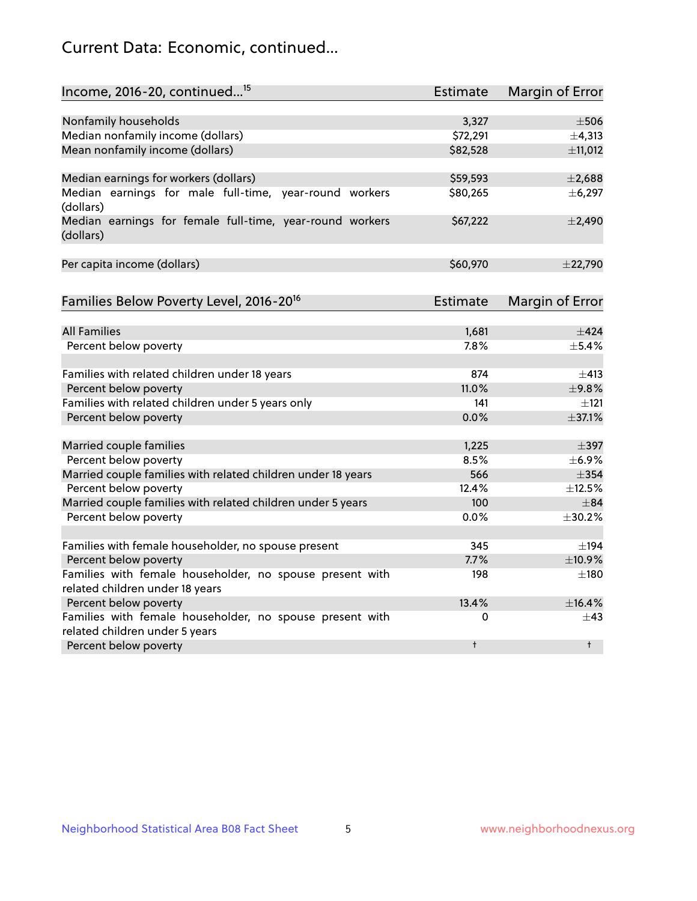## Current Data: Economic, continued...

| Income, 2016-20, continued <sup>15</sup>                                                   | <b>Estimate</b> | <b>Margin of Error</b> |
|--------------------------------------------------------------------------------------------|-----------------|------------------------|
|                                                                                            |                 |                        |
| Nonfamily households                                                                       | 3,327           | $\pm$ 506              |
| Median nonfamily income (dollars)                                                          | \$72,291        | ±4,313                 |
| Mean nonfamily income (dollars)                                                            | \$82,528        | ±11,012                |
| Median earnings for workers (dollars)                                                      | \$59,593        | ±2,688                 |
| Median earnings for male full-time, year-round workers<br>(dollars)                        | \$80,265        | ±6,297                 |
| Median earnings for female full-time, year-round workers<br>(dollars)                      | \$67,222        | $\pm$ 2,490            |
| Per capita income (dollars)                                                                | \$60,970        | ±22,790                |
| Families Below Poverty Level, 2016-20 <sup>16</sup>                                        | Estimate        | <b>Margin of Error</b> |
|                                                                                            |                 |                        |
| <b>All Families</b>                                                                        | 1,681           | $\pm$ 424              |
| Percent below poverty                                                                      | 7.8%            | $\pm$ 5.4%             |
| Families with related children under 18 years                                              | 874             | $\pm$ 413              |
| Percent below poverty                                                                      | 11.0%           | ±9.8%                  |
| Families with related children under 5 years only                                          | 141             | $\pm$ 121              |
| Percent below poverty                                                                      | 0.0%            | ±37.1%                 |
| Married couple families                                                                    | 1,225           | $\pm$ 397              |
| Percent below poverty                                                                      | 8.5%            | ±6.9%                  |
| Married couple families with related children under 18 years                               | 566             | $\pm$ 354              |
| Percent below poverty                                                                      | 12.4%           | ±12.5%                 |
| Married couple families with related children under 5 years                                | 100             | $\pm$ 84               |
| Percent below poverty                                                                      | $0.0\%$         | ±30.2%                 |
|                                                                                            |                 |                        |
| Families with female householder, no spouse present                                        | 345             | $\pm$ 194              |
| Percent below poverty                                                                      | 7.7%            | ±10.9%                 |
| Families with female householder, no spouse present with                                   | 198             | $\pm$ 180              |
| related children under 18 years                                                            |                 |                        |
| Percent below poverty                                                                      | 13.4%           | ±16.4%                 |
| Families with female householder, no spouse present with<br>related children under 5 years | 0               | $\pm$ 43               |
| Percent below poverty                                                                      | $\ddagger$      | $\ddagger$             |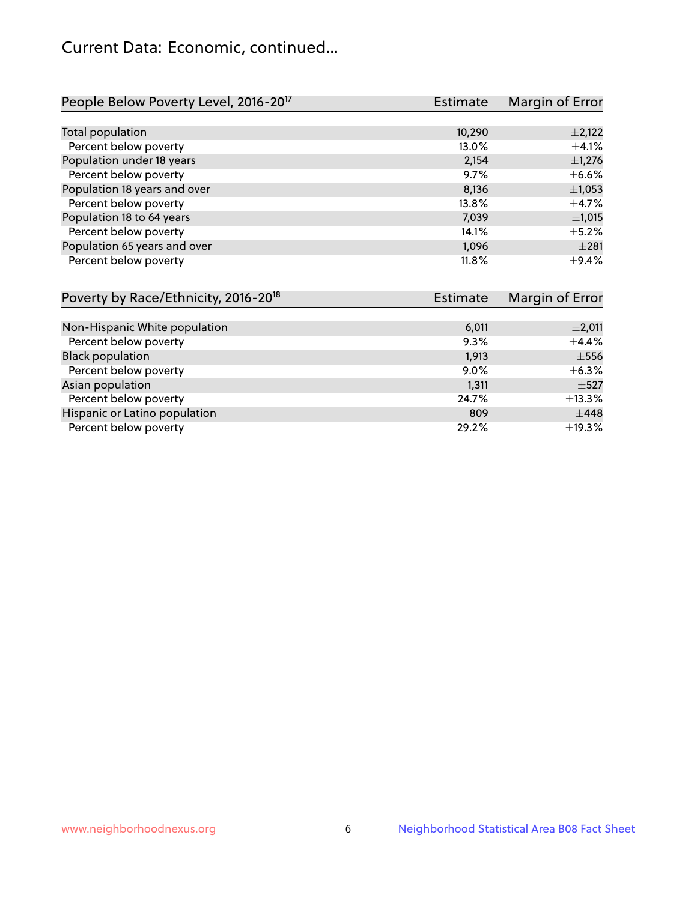## Current Data: Economic, continued...

| People Below Poverty Level, 2016-20 <sup>17</sup> | <b>Estimate</b> | Margin of Error |
|---------------------------------------------------|-----------------|-----------------|
|                                                   |                 |                 |
| Total population                                  | 10,290          | $\pm$ 2,122     |
| Percent below poverty                             | 13.0%           | ±4.1%           |
| Population under 18 years                         | 2,154           | $\pm$ 1,276     |
| Percent below poverty                             | 9.7%            | $\pm$ 6.6%      |
| Population 18 years and over                      | 8,136           | $\pm$ 1,053     |
| Percent below poverty                             | 13.8%           | $\pm$ 4.7%      |
| Population 18 to 64 years                         | 7,039           | ±1,015          |
| Percent below poverty                             | 14.1%           | $\pm$ 5.2%      |
| Population 65 years and over                      | 1,096           | $\pm 281$       |
| Percent below poverty                             | 11.8%           | $\pm$ 9.4%      |

| Poverty by Race/Ethnicity, 2016-20 <sup>18</sup> | Estimate | Margin of Error |
|--------------------------------------------------|----------|-----------------|
|                                                  |          |                 |
| Non-Hispanic White population                    | 6,011    | $\pm 2,011$     |
| Percent below poverty                            | 9.3%     | $\pm$ 4.4%      |
| <b>Black population</b>                          | 1,913    | $\pm$ 556       |
| Percent below poverty                            | $9.0\%$  | $\pm$ 6.3%      |
| Asian population                                 | 1,311    | $\pm$ 527       |
| Percent below poverty                            | 24.7%    | ±13.3%          |
| Hispanic or Latino population                    | 809      | $\pm$ 448       |
| Percent below poverty                            | 29.2%    | $\pm$ 19.3%     |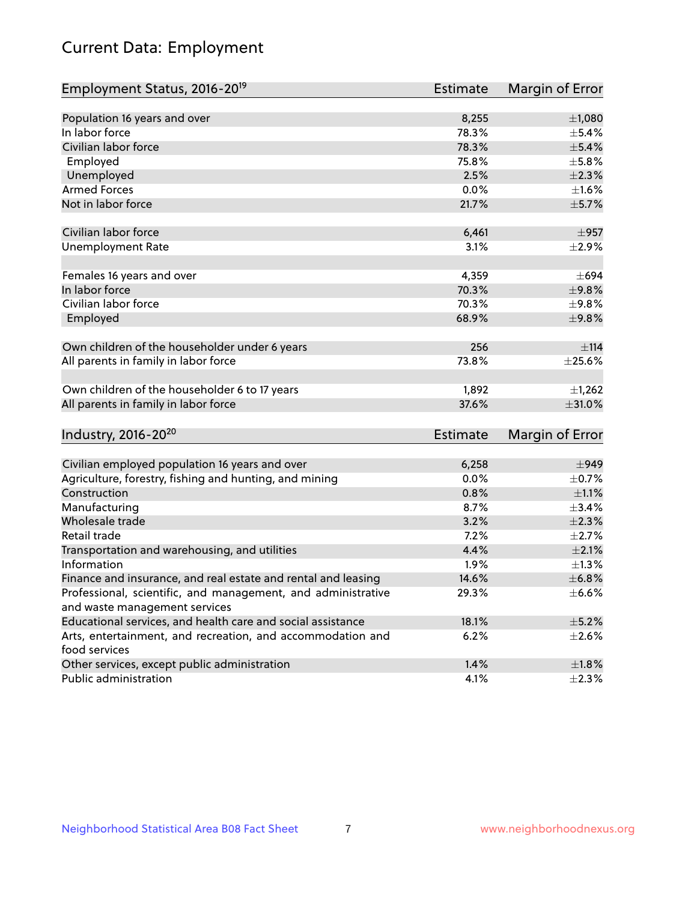# Current Data: Employment

| Employment Status, 2016-20 <sup>19</sup>                                    | <b>Estimate</b> | Margin of Error |
|-----------------------------------------------------------------------------|-----------------|-----------------|
|                                                                             |                 |                 |
| Population 16 years and over                                                | 8,255           | $\pm 1,080$     |
| In labor force                                                              | 78.3%           | $\pm$ 5.4%      |
| Civilian labor force                                                        | 78.3%           | $\pm$ 5.4%      |
| Employed                                                                    | 75.8%           | $\pm$ 5.8%      |
| Unemployed                                                                  | 2.5%            | $\pm 2.3\%$     |
| <b>Armed Forces</b>                                                         | 0.0%            | $\pm1.6\%$      |
| Not in labor force                                                          | 21.7%           | ±5.7%           |
|                                                                             |                 |                 |
| Civilian labor force                                                        | 6,461           | $\pm$ 957       |
| <b>Unemployment Rate</b>                                                    | 3.1%            | $\pm 2.9\%$     |
| Females 16 years and over                                                   | 4,359           | $\pm 694$       |
| In labor force                                                              | 70.3%           | ±9.8%           |
| Civilian labor force                                                        | 70.3%           | ±9.8%           |
| Employed                                                                    | 68.9%           | ±9.8%           |
|                                                                             |                 |                 |
| Own children of the householder under 6 years                               | 256             | ±114            |
| All parents in family in labor force                                        | 73.8%           | $\pm 25.6\%$    |
|                                                                             |                 |                 |
| Own children of the householder 6 to 17 years                               | 1,892           | $\pm$ 1,262     |
| All parents in family in labor force                                        | 37.6%           | $\pm 31.0\%$    |
|                                                                             |                 |                 |
| Industry, 2016-20 <sup>20</sup>                                             | <b>Estimate</b> | Margin of Error |
|                                                                             |                 |                 |
| Civilian employed population 16 years and over                              | 6,258           | $\pm$ 949       |
| Agriculture, forestry, fishing and hunting, and mining                      | 0.0%            | $\pm$ 0.7%      |
| Construction                                                                | 0.8%            | $\pm 1.1\%$     |
| Manufacturing                                                               | 8.7%            | ±3.4%           |
| Wholesale trade                                                             | 3.2%            | $\pm 2.3\%$     |
| Retail trade                                                                | 7.2%            | $\pm 2.7\%$     |
| Transportation and warehousing, and utilities                               | 4.4%            | $\pm 2.1\%$     |
| Information                                                                 | 1.9%            | $\pm$ 1.3%      |
| Finance and insurance, and real estate and rental and leasing               | 14.6%           | ±6.8%           |
| Professional, scientific, and management, and administrative                | 29.3%           | $\pm$ 6.6%      |
| and waste management services                                               |                 |                 |
| Educational services, and health care and social assistance                 | 18.1%           | $\pm$ 5.2%      |
| Arts, entertainment, and recreation, and accommodation and<br>food services | 6.2%            | $\pm 2.6\%$     |
|                                                                             |                 |                 |
| Other services, except public administration                                | 1.4%            | ±1.8%           |
| Public administration                                                       | 4.1%            | $\pm 2.3\%$     |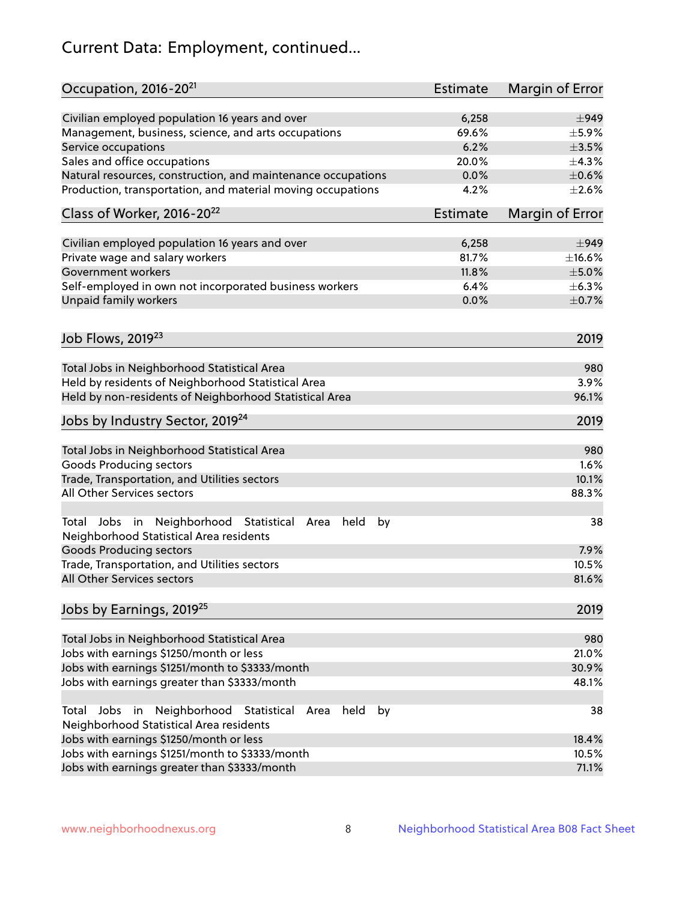# Current Data: Employment, continued...

| Occupation, 2016-20 <sup>21</sup>                                                                                | Estimate        | Margin of Error |
|------------------------------------------------------------------------------------------------------------------|-----------------|-----------------|
| Civilian employed population 16 years and over                                                                   | 6,258           | $\pm$ 949       |
| Management, business, science, and arts occupations                                                              | 69.6%           | $\pm$ 5.9%      |
| Service occupations                                                                                              | 6.2%            | $\pm 3.5\%$     |
| Sales and office occupations                                                                                     | 20.0%           | ±4.3%           |
| Natural resources, construction, and maintenance occupations                                                     | 0.0%            | $\pm$ 0.6%      |
| Production, transportation, and material moving occupations                                                      | 4.2%            | $\pm 2.6\%$     |
| Class of Worker, 2016-20 <sup>22</sup>                                                                           | <b>Estimate</b> | Margin of Error |
| Civilian employed population 16 years and over                                                                   | 6,258           | $\pm$ 949       |
| Private wage and salary workers                                                                                  | 81.7%           | $\pm$ 16.6%     |
| Government workers                                                                                               | 11.8%           | $\pm$ 5.0%      |
| Self-employed in own not incorporated business workers                                                           | 6.4%            | $\pm$ 6.3%      |
| Unpaid family workers                                                                                            | 0.0%            | $\pm$ 0.7%      |
| Job Flows, 2019 <sup>23</sup>                                                                                    |                 | 2019            |
|                                                                                                                  |                 |                 |
| Total Jobs in Neighborhood Statistical Area                                                                      |                 | 980             |
| Held by residents of Neighborhood Statistical Area                                                               |                 | 3.9%            |
| Held by non-residents of Neighborhood Statistical Area                                                           |                 | 96.1%           |
| Jobs by Industry Sector, 2019 <sup>24</sup>                                                                      |                 | 2019            |
| Total Jobs in Neighborhood Statistical Area                                                                      |                 | 980             |
| <b>Goods Producing sectors</b>                                                                                   |                 | 1.6%            |
| Trade, Transportation, and Utilities sectors                                                                     |                 | 10.1%           |
| All Other Services sectors                                                                                       |                 | 88.3%           |
| Total Jobs in Neighborhood Statistical<br>held<br>by<br>Area<br>Neighborhood Statistical Area residents          |                 | 38              |
| <b>Goods Producing sectors</b>                                                                                   |                 | 7.9%            |
| Trade, Transportation, and Utilities sectors                                                                     |                 | 10.5%           |
| All Other Services sectors                                                                                       |                 | 81.6%           |
| Jobs by Earnings, 2019 <sup>25</sup>                                                                             |                 | 2019            |
| Total Jobs in Neighborhood Statistical Area                                                                      |                 | 980             |
| Jobs with earnings \$1250/month or less                                                                          |                 | 21.0%           |
| Jobs with earnings \$1251/month to \$3333/month                                                                  |                 | 30.9%           |
| Jobs with earnings greater than \$3333/month                                                                     |                 | 48.1%           |
| Neighborhood Statistical<br>Jobs<br>in<br>held<br>by<br>Total<br>Area<br>Neighborhood Statistical Area residents |                 | 38              |
| Jobs with earnings \$1250/month or less                                                                          |                 | 18.4%           |
| Jobs with earnings \$1251/month to \$3333/month                                                                  |                 | 10.5%           |
| Jobs with earnings greater than \$3333/month                                                                     |                 | 71.1%           |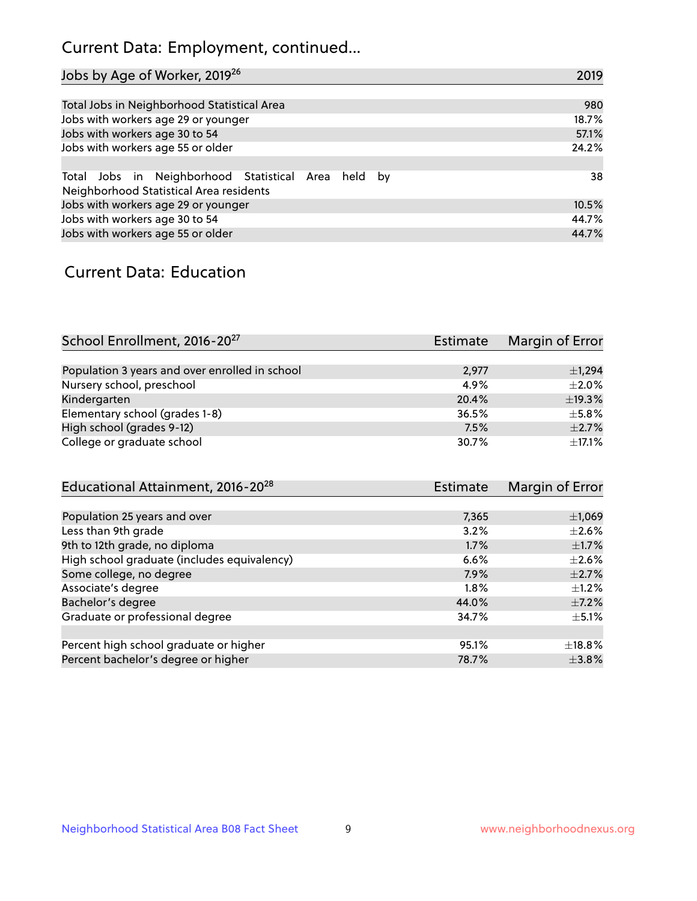## Current Data: Employment, continued...

| Jobs by Age of Worker, 2019 <sup>26</sup>                                                      | 2019  |
|------------------------------------------------------------------------------------------------|-------|
|                                                                                                |       |
| Total Jobs in Neighborhood Statistical Area                                                    | 980   |
| Jobs with workers age 29 or younger                                                            | 18.7% |
| Jobs with workers age 30 to 54                                                                 | 57.1% |
| Jobs with workers age 55 or older                                                              | 24.2% |
|                                                                                                |       |
| Total Jobs in Neighborhood Statistical Area held by<br>Neighborhood Statistical Area residents | 38    |
| Jobs with workers age 29 or younger                                                            | 10.5% |
| Jobs with workers age 30 to 54                                                                 | 44.7% |
| Jobs with workers age 55 or older                                                              | 44.7% |

### Current Data: Education

| School Enrollment, 2016-20 <sup>27</sup>       | <b>Estimate</b> | Margin of Error |
|------------------------------------------------|-----------------|-----------------|
|                                                |                 |                 |
| Population 3 years and over enrolled in school | 2,977           | $\pm$ 1,294     |
| Nursery school, preschool                      | 4.9%            | $\pm 2.0\%$     |
| Kindergarten                                   | 20.4%           | ±19.3%          |
| Elementary school (grades 1-8)                 | 36.5%           | $\pm$ 5.8%      |
| High school (grades 9-12)                      | 7.5%            | $\pm 2.7\%$     |
| College or graduate school                     | 30.7%           | $\pm$ 17.1%     |

| Educational Attainment, 2016-20 <sup>28</sup> | <b>Estimate</b> | Margin of Error |
|-----------------------------------------------|-----------------|-----------------|
|                                               |                 |                 |
| Population 25 years and over                  | 7,365           | ±1,069          |
| Less than 9th grade                           | 3.2%            | $\pm 2.6\%$     |
| 9th to 12th grade, no diploma                 | 1.7%            | $\pm$ 1.7%      |
| High school graduate (includes equivalency)   | 6.6%            | $+2.6%$         |
| Some college, no degree                       | 7.9%            | $\pm 2.7\%$     |
| Associate's degree                            | 1.8%            | $\pm 1.2\%$     |
| Bachelor's degree                             | 44.0%           | $\pm$ 7.2%      |
| Graduate or professional degree               | 34.7%           | $\pm$ 5.1%      |
|                                               |                 |                 |
| Percent high school graduate or higher        | 95.1%           | $\pm$ 18.8%     |
| Percent bachelor's degree or higher           | 78.7%           | $\pm$ 3.8%      |
|                                               |                 |                 |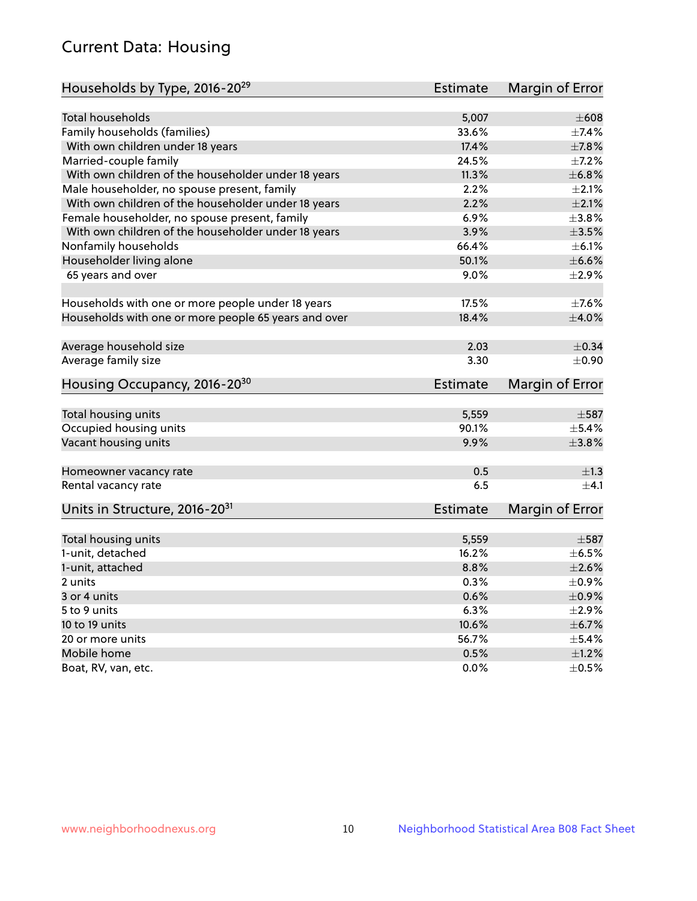## Current Data: Housing

| Households by Type, 2016-20 <sup>29</sup>            | <b>Estimate</b> | Margin of Error |
|------------------------------------------------------|-----------------|-----------------|
|                                                      |                 |                 |
| Total households                                     | 5,007           | $\pm 608$       |
| Family households (families)                         | 33.6%           | $+7.4%$         |
| With own children under 18 years                     | 17.4%           | $\pm$ 7.8%      |
| Married-couple family                                | 24.5%           | $\pm$ 7.2%      |
| With own children of the householder under 18 years  | 11.3%           | ±6.8%           |
| Male householder, no spouse present, family          | 2.2%            | $\pm 2.1\%$     |
| With own children of the householder under 18 years  | 2.2%            | $\pm 2.1\%$     |
| Female householder, no spouse present, family        | 6.9%            | ±3.8%           |
| With own children of the householder under 18 years  | 3.9%            | $\pm 3.5\%$     |
| Nonfamily households                                 | 66.4%           | $\pm$ 6.1%      |
| Householder living alone                             | 50.1%           | $\pm$ 6.6%      |
| 65 years and over                                    | $9.0\%$         | $\pm 2.9\%$     |
|                                                      |                 |                 |
| Households with one or more people under 18 years    | 17.5%           | $\pm$ 7.6%      |
| Households with one or more people 65 years and over | 18.4%           | $\pm 4.0\%$     |
|                                                      |                 |                 |
| Average household size                               | 2.03            | $\pm$ 0.34      |
| Average family size                                  | 3.30            | $\pm$ 0.90      |
| Housing Occupancy, 2016-20 <sup>30</sup>             | <b>Estimate</b> | Margin of Error |
| Total housing units                                  | 5,559           | $\pm$ 587       |
| Occupied housing units                               | 90.1%           | $\pm$ 5.4%      |
| Vacant housing units                                 | 9.9%            | $\pm$ 3.8%      |
|                                                      |                 |                 |
| Homeowner vacancy rate                               | 0.5             | ±1.3            |
| Rental vacancy rate                                  | 6.5             | $+4.1$          |
| Units in Structure, 2016-20 <sup>31</sup>            | Estimate        | Margin of Error |
|                                                      |                 |                 |
| Total housing units                                  | 5,559           | $\pm$ 587       |
| 1-unit, detached                                     | 16.2%           | $\pm$ 6.5%      |
| 1-unit, attached                                     | 8.8%            | $\pm 2.6\%$     |
| 2 units                                              | 0.3%            | $\pm$ 0.9%      |
| 3 or 4 units                                         | 0.6%            | $\pm$ 0.9%      |
| 5 to 9 units                                         | 6.3%            | $\pm 2.9\%$     |
| 10 to 19 units                                       | 10.6%           | $\pm$ 6.7%      |
| 20 or more units                                     | 56.7%           | $\pm$ 5.4%      |
| Mobile home                                          | 0.5%            | $\pm 1.2\%$     |
| Boat, RV, van, etc.                                  | $0.0\%$         | $\pm$ 0.5%      |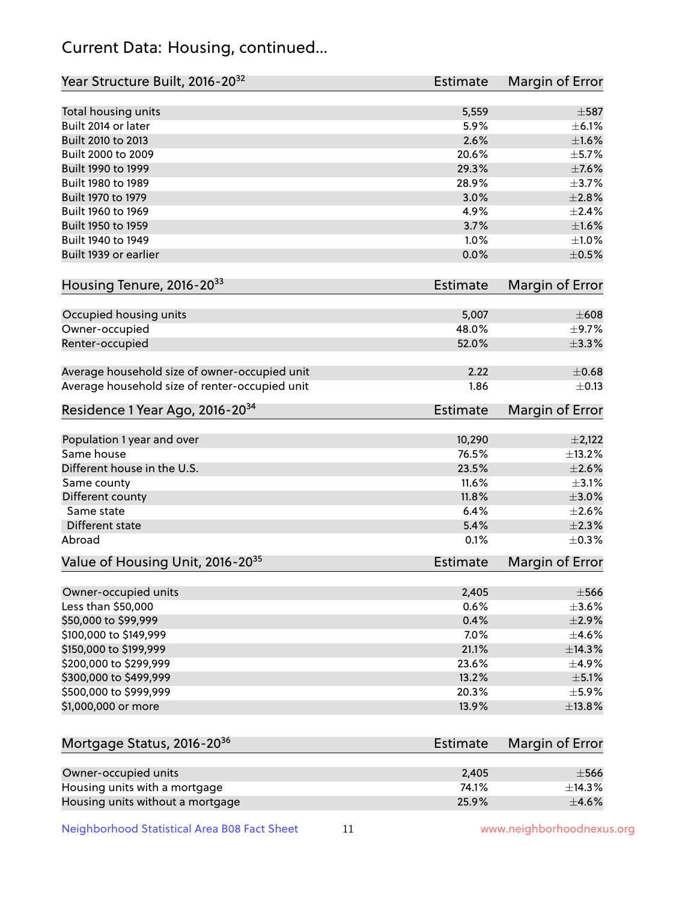## Current Data: Housing, continued...

| Year Structure Built, 2016-20 <sup>32</sup>    | <b>Estimate</b> | Margin of Error         |
|------------------------------------------------|-----------------|-------------------------|
| Total housing units                            | 5,559           | $\pm$ 587               |
| Built 2014 or later                            | 5.9%            | $\pm$ 6.1%              |
| Built 2010 to 2013                             | 2.6%            | $\pm1.6\%$              |
| Built 2000 to 2009                             | 20.6%           | $\pm$ 5.7%              |
| Built 1990 to 1999                             | 29.3%           | $\pm$ 7.6%              |
| Built 1980 to 1989                             | 28.9%           | $\pm$ 3.7%              |
| Built 1970 to 1979                             | 3.0%            | $\pm 2.8\%$             |
| Built 1960 to 1969                             | 4.9%            | $\pm 2.4\%$             |
| Built 1950 to 1959                             | 3.7%            | $\pm1.6\%$              |
| Built 1940 to 1949                             | 1.0%            | $\pm 1.0\%$             |
| Built 1939 or earlier                          | 0.0%            | $\pm$ 0.5%              |
| Housing Tenure, 2016-2033                      | <b>Estimate</b> | Margin of Error         |
|                                                |                 |                         |
| Occupied housing units                         | 5,007           | $\pm 608$<br>$\pm$ 9.7% |
| Owner-occupied                                 | 48.0%<br>52.0%  |                         |
| Renter-occupied                                |                 | $\pm$ 3.3%              |
| Average household size of owner-occupied unit  | 2.22            | $\pm$ 0.68              |
| Average household size of renter-occupied unit | 1.86            | $\pm$ 0.13              |
| Residence 1 Year Ago, 2016-20 <sup>34</sup>    | <b>Estimate</b> | Margin of Error         |
| Population 1 year and over                     | 10,290          | $\pm 2,122$             |
| Same house                                     | 76.5%           | ±13.2%                  |
| Different house in the U.S.                    | 23.5%           | $\pm 2.6\%$             |
| Same county                                    | 11.6%           | $\pm$ 3.1%              |
| Different county                               | 11.8%           | $\pm 3.0\%$             |
| Same state                                     | 6.4%            | $\pm 2.6\%$             |
| Different state                                | 5.4%            | $\pm 2.3\%$             |
| Abroad                                         | 0.1%            | $\pm$ 0.3%              |
| Value of Housing Unit, 2016-20 <sup>35</sup>   | <b>Estimate</b> | Margin of Error         |
| Owner-occupied units                           | 2,405           | $\pm$ 566               |
| Less than \$50,000                             | 0.6%            | $\pm 3.6\%$             |
| \$50,000 to \$99,999                           | 0.4%            | $\pm 2.9\%$             |
| \$100,000 to \$149,999                         | 7.0%            | $\pm$ 4.6%              |
| \$150,000 to \$199,999                         | 21.1%           | ±14.3%                  |
| \$200,000 to \$299,999                         | 23.6%           | $\pm$ 4.9%              |
| \$300,000 to \$499,999                         | 13.2%           | $\pm$ 5.1%              |
| \$500,000 to \$999,999                         | 20.3%           | $\pm$ 5.9%              |
| \$1,000,000 or more                            | 13.9%           | ±13.8%                  |
|                                                |                 |                         |
| Mortgage Status, 2016-20 <sup>36</sup>         | <b>Estimate</b> | Margin of Error         |
| Owner-occupied units                           | 2,405           | $\pm$ 566               |
| Housing units with a mortgage                  | 74.1%           | ±14.3%                  |
| Housing units without a mortgage               | 25.9%           | $\pm$ 4.6%              |

Neighborhood Statistical Area B08 Fact Sheet 11 11 www.neighborhoodnexus.org

Housing units without a mortgage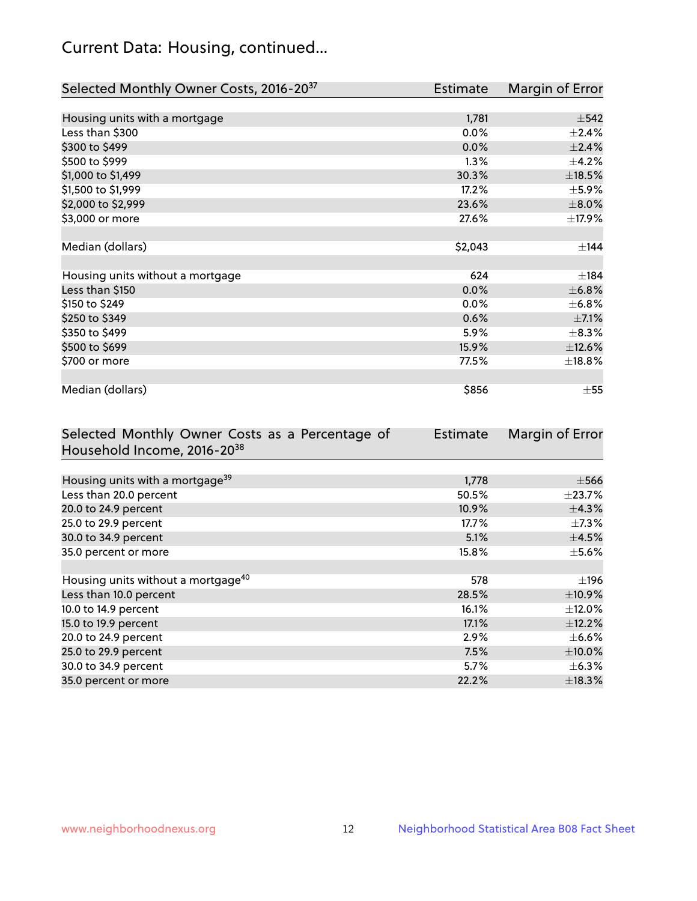## Current Data: Housing, continued...

| Selected Monthly Owner Costs, 2016-20 <sup>37</sup> | <b>Estimate</b> | Margin of Error |
|-----------------------------------------------------|-----------------|-----------------|
|                                                     |                 |                 |
| Housing units with a mortgage                       | 1,781           | $\pm$ 542       |
| Less than \$300                                     | 0.0%            | $\pm 2.4\%$     |
| \$300 to \$499                                      | 0.0%            | ±2.4%           |
| \$500 to \$999                                      | 1.3%            | $\pm$ 4.2%      |
| \$1,000 to \$1,499                                  | 30.3%           | ±18.5%          |
| \$1,500 to \$1,999                                  | 17.2%           | $\pm$ 5.9%      |
| \$2,000 to \$2,999                                  | 23.6%           | $\pm 8.0\%$     |
| \$3,000 or more                                     | 27.6%           | ±17.9%          |
|                                                     |                 |                 |
| Median (dollars)                                    | \$2,043         | ±144            |
|                                                     |                 |                 |
| Housing units without a mortgage                    | 624             | ±184            |
| Less than \$150                                     | 0.0%            | ±6.8%           |
| \$150 to \$249                                      | $0.0\%$         | $\pm$ 6.8%      |
| \$250 to \$349                                      | 0.6%            | $\pm$ 7.1%      |
| \$350 to \$499                                      | 5.9%            | $\pm$ 8.3%      |
| \$500 to \$699                                      | 15.9%           | ±12.6%          |
| \$700 or more                                       | 77.5%           | ±18.8%          |
|                                                     |                 |                 |
| Median (dollars)                                    | \$856           | $\pm$ 55        |

| Selected Monthly Owner Costs as a Percentage of | <b>Estimate</b> | Margin of Error |
|-------------------------------------------------|-----------------|-----------------|
| Household Income, 2016-20 <sup>38</sup>         |                 |                 |
|                                                 |                 |                 |
| Housing units with a mortgage <sup>39</sup>     | 1,778           | $\pm$ 566       |
| Less than 20.0 percent                          | 50.5%           | $\pm$ 23.7%     |
| 20.0 to 24.9 percent                            | 10.9%           | $\pm$ 4.3%      |
| 25.0 to 29.9 percent                            | 17.7%           | $\pm$ 7.3%      |
| 30.0 to 34.9 percent                            | 5.1%            | $\pm$ 4.5%      |
| 35.0 percent or more                            | 15.8%           | $\pm$ 5.6%      |
|                                                 |                 |                 |
| Housing units without a mortgage <sup>40</sup>  | 578             | ±196            |
| Less than 10.0 percent                          | 28.5%           | ±10.9%          |
| 10.0 to 14.9 percent                            | 16.1%           | $\pm$ 12.0%     |
| 15.0 to 19.9 percent                            | 17.1%           | $\pm$ 12.2%     |
| 20.0 to 24.9 percent                            | 2.9%            | $\pm$ 6.6%      |
| 25.0 to 29.9 percent                            | 7.5%            | $\pm$ 10.0%     |
| 30.0 to 34.9 percent                            | 5.7%            | $\pm$ 6.3%      |
| 35.0 percent or more                            | 22.2%           | $\pm$ 18.3%     |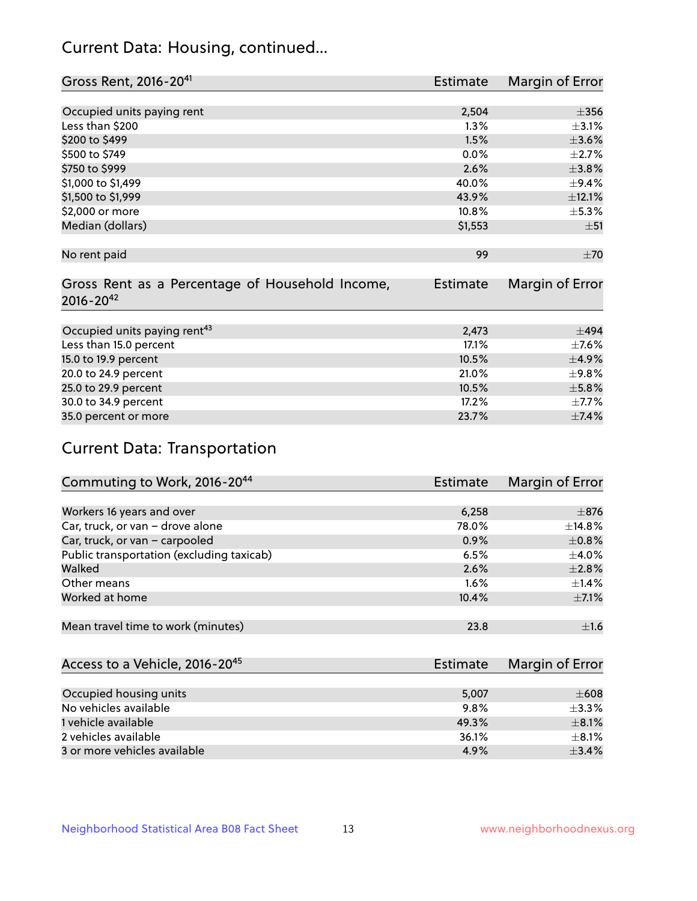## Current Data: Housing, continued...

| Gross Rent, 2016-20 <sup>41</sup>                                   | <b>Estimate</b> | Margin of Error |
|---------------------------------------------------------------------|-----------------|-----------------|
|                                                                     |                 |                 |
| Occupied units paying rent                                          | 2,504           | $\pm 356$       |
| Less than \$200                                                     | 1.3%            | $\pm$ 3.1%      |
| \$200 to \$499                                                      | 1.5%            | $\pm 3.6\%$     |
| \$500 to \$749                                                      | $0.0\%$         | $\pm 2.7\%$     |
| \$750 to \$999                                                      | 2.6%            | ±3.8%           |
| \$1,000 to \$1,499                                                  | 40.0%           | $\pm$ 9.4%      |
| \$1,500 to \$1,999                                                  | 43.9%           | ±12.1%          |
| \$2,000 or more                                                     | 10.8%           | $\pm$ 5.3%      |
| Median (dollars)                                                    | \$1,553         | ±51             |
|                                                                     |                 |                 |
| No rent paid                                                        | 99              | ±70             |
| Gross Rent as a Percentage of Household Income,<br>$2016 - 20^{42}$ | <b>Estimate</b> | Margin of Error |
| Occupied units paying rent <sup>43</sup>                            | 2,473           | $+494$          |
|                                                                     |                 |                 |
| Less than 15.0 percent                                              | 17.1%           | $\pm$ 7.6%      |
| 15.0 to 19.9 percent                                                | 10.5%           | $\pm$ 4.9%      |
| 20.0 to 24.9 percent                                                | 21.0%           | $\pm$ 9.8%      |
| 25.0 to 29.9 percent                                                | 10.5%           | $\pm$ 5.8%      |
| 30.0 to 34.9 percent                                                | 17.2%           | $\pm$ 7.7%      |
| 35.0 percent or more                                                | 23.7%           | ±7.4%           |

# Current Data: Transportation

| Commuting to Work, 2016-20 <sup>44</sup>  | <b>Estimate</b> | Margin of Error |
|-------------------------------------------|-----------------|-----------------|
|                                           |                 |                 |
| Workers 16 years and over                 | 6,258           | $\pm$ 876       |
| Car, truck, or van - drove alone          | 78.0%           | $\pm$ 14.8%     |
| Car, truck, or van - carpooled            | 0.9%            | $\pm$ 0.8%      |
| Public transportation (excluding taxicab) | 6.5%            | $\pm$ 4.0%      |
| Walked                                    | 2.6%            | $\pm 2.8\%$     |
| Other means                               | $1.6\%$         | $\pm$ 1.4%      |
| Worked at home                            | 10.4%           | $\pm$ 7.1%      |
|                                           |                 |                 |
| Mean travel time to work (minutes)        | 23.8            | $\pm 1.6$       |

| Access to a Vehicle, 2016-20 <sup>45</sup> | Estimate | Margin of Error |
|--------------------------------------------|----------|-----------------|
|                                            |          |                 |
| Occupied housing units                     | 5,007    | $\pm 608$       |
| No vehicles available                      | 9.8%     | $\pm$ 3.3%      |
| 1 vehicle available                        | 49.3%    | $+8.1%$         |
| 2 vehicles available                       | 36.1%    | $+8.1%$         |
| 3 or more vehicles available               | 4.9%     | $+3.4%$         |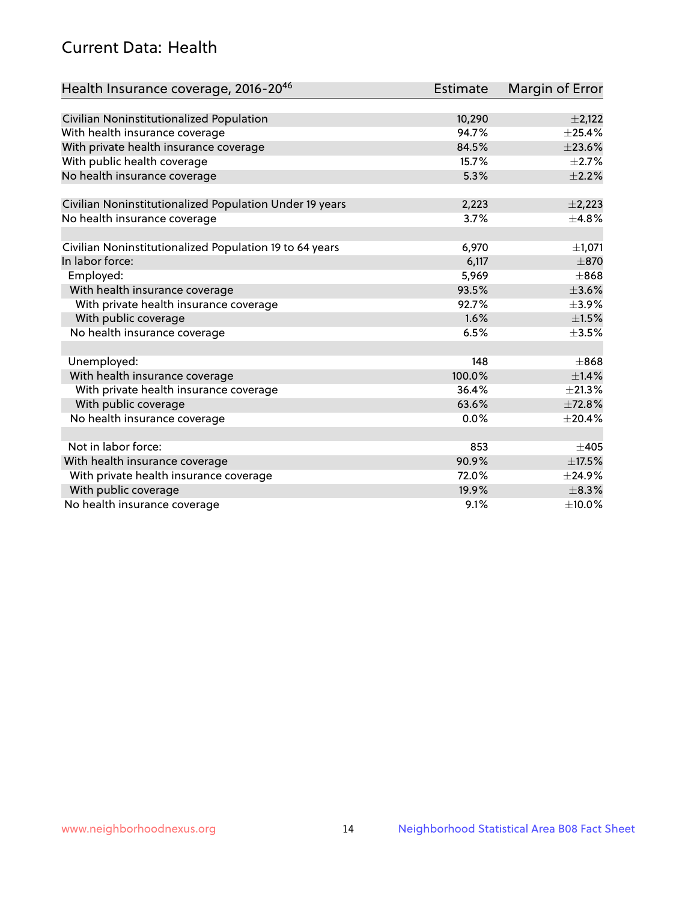## Current Data: Health

| Health Insurance coverage, 2016-2046                    | <b>Estimate</b> | Margin of Error |
|---------------------------------------------------------|-----------------|-----------------|
|                                                         |                 |                 |
| Civilian Noninstitutionalized Population                | 10,290          | $\pm$ 2,122     |
| With health insurance coverage                          | 94.7%           | $\pm$ 25.4%     |
| With private health insurance coverage                  | 84.5%           | ±23.6%          |
| With public health coverage                             | 15.7%           | $\pm 2.7\%$     |
| No health insurance coverage                            | 5.3%            | $\pm 2.2\%$     |
|                                                         |                 |                 |
| Civilian Noninstitutionalized Population Under 19 years | 2,223           | $\pm$ 2,223     |
| No health insurance coverage                            | 3.7%            | $\pm$ 4.8%      |
| Civilian Noninstitutionalized Population 19 to 64 years | 6,970           | ±1,071          |
| In labor force:                                         | 6,117           | $\pm 870$       |
| Employed:                                               | 5,969           | $\pm$ 868       |
|                                                         | 93.5%           | $\pm 3.6\%$     |
| With health insurance coverage                          | 92.7%           |                 |
| With private health insurance coverage                  |                 | $\pm$ 3.9%      |
| With public coverage                                    | 1.6%            | $\pm 1.5\%$     |
| No health insurance coverage                            | 6.5%            | $\pm 3.5\%$     |
| Unemployed:                                             | 148             | $\pm$ 868       |
| With health insurance coverage                          | 100.0%          | ±1.4%           |
| With private health insurance coverage                  | 36.4%           | ±21.3%          |
| With public coverage                                    | 63.6%           | ±72.8%          |
| No health insurance coverage                            | 0.0%            | ±20.4%          |
|                                                         |                 |                 |
| Not in labor force:                                     | 853             | $\pm 405$       |
| With health insurance coverage                          | 90.9%           | $\pm$ 17.5%     |
| With private health insurance coverage                  | 72.0%           | ±24.9%          |
| With public coverage                                    | 19.9%           | $\pm$ 8.3%      |
| No health insurance coverage                            | 9.1%            | $\pm$ 10.0%     |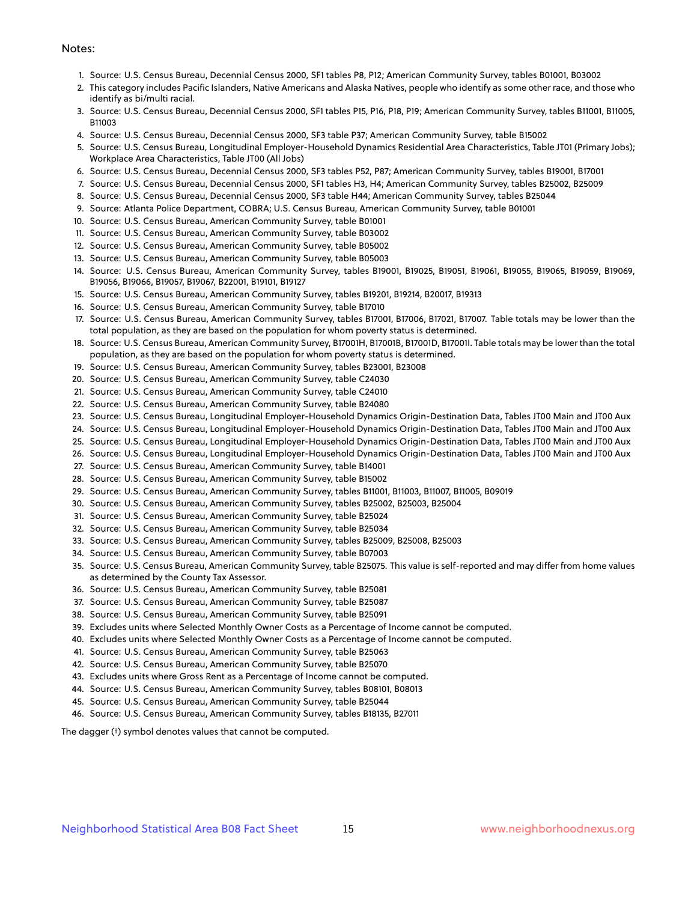#### Notes:

- 1. Source: U.S. Census Bureau, Decennial Census 2000, SF1 tables P8, P12; American Community Survey, tables B01001, B03002
- 2. This category includes Pacific Islanders, Native Americans and Alaska Natives, people who identify as some other race, and those who identify as bi/multi racial.
- 3. Source: U.S. Census Bureau, Decennial Census 2000, SF1 tables P15, P16, P18, P19; American Community Survey, tables B11001, B11005, B11003
- 4. Source: U.S. Census Bureau, Decennial Census 2000, SF3 table P37; American Community Survey, table B15002
- 5. Source: U.S. Census Bureau, Longitudinal Employer-Household Dynamics Residential Area Characteristics, Table JT01 (Primary Jobs); Workplace Area Characteristics, Table JT00 (All Jobs)
- 6. Source: U.S. Census Bureau, Decennial Census 2000, SF3 tables P52, P87; American Community Survey, tables B19001, B17001
- 7. Source: U.S. Census Bureau, Decennial Census 2000, SF1 tables H3, H4; American Community Survey, tables B25002, B25009
- 8. Source: U.S. Census Bureau, Decennial Census 2000, SF3 table H44; American Community Survey, tables B25044
- 9. Source: Atlanta Police Department, COBRA; U.S. Census Bureau, American Community Survey, table B01001
- 10. Source: U.S. Census Bureau, American Community Survey, table B01001
- 11. Source: U.S. Census Bureau, American Community Survey, table B03002
- 12. Source: U.S. Census Bureau, American Community Survey, table B05002
- 13. Source: U.S. Census Bureau, American Community Survey, table B05003
- 14. Source: U.S. Census Bureau, American Community Survey, tables B19001, B19025, B19051, B19061, B19055, B19065, B19059, B19069, B19056, B19066, B19057, B19067, B22001, B19101, B19127
- 15. Source: U.S. Census Bureau, American Community Survey, tables B19201, B19214, B20017, B19313
- 16. Source: U.S. Census Bureau, American Community Survey, table B17010
- 17. Source: U.S. Census Bureau, American Community Survey, tables B17001, B17006, B17021, B17007. Table totals may be lower than the total population, as they are based on the population for whom poverty status is determined.
- 18. Source: U.S. Census Bureau, American Community Survey, B17001H, B17001B, B17001D, B17001I. Table totals may be lower than the total population, as they are based on the population for whom poverty status is determined.
- 19. Source: U.S. Census Bureau, American Community Survey, tables B23001, B23008
- 20. Source: U.S. Census Bureau, American Community Survey, table C24030
- 21. Source: U.S. Census Bureau, American Community Survey, table C24010
- 22. Source: U.S. Census Bureau, American Community Survey, table B24080
- 23. Source: U.S. Census Bureau, Longitudinal Employer-Household Dynamics Origin-Destination Data, Tables JT00 Main and JT00 Aux
- 24. Source: U.S. Census Bureau, Longitudinal Employer-Household Dynamics Origin-Destination Data, Tables JT00 Main and JT00 Aux
- 25. Source: U.S. Census Bureau, Longitudinal Employer-Household Dynamics Origin-Destination Data, Tables JT00 Main and JT00 Aux
- 26. Source: U.S. Census Bureau, Longitudinal Employer-Household Dynamics Origin-Destination Data, Tables JT00 Main and JT00 Aux
- 27. Source: U.S. Census Bureau, American Community Survey, table B14001
- 28. Source: U.S. Census Bureau, American Community Survey, table B15002
- 29. Source: U.S. Census Bureau, American Community Survey, tables B11001, B11003, B11007, B11005, B09019
- 30. Source: U.S. Census Bureau, American Community Survey, tables B25002, B25003, B25004
- 31. Source: U.S. Census Bureau, American Community Survey, table B25024
- 32. Source: U.S. Census Bureau, American Community Survey, table B25034
- 33. Source: U.S. Census Bureau, American Community Survey, tables B25009, B25008, B25003
- 34. Source: U.S. Census Bureau, American Community Survey, table B07003
- 35. Source: U.S. Census Bureau, American Community Survey, table B25075. This value is self-reported and may differ from home values as determined by the County Tax Assessor.
- 36. Source: U.S. Census Bureau, American Community Survey, table B25081
- 37. Source: U.S. Census Bureau, American Community Survey, table B25087
- 38. Source: U.S. Census Bureau, American Community Survey, table B25091
- 39. Excludes units where Selected Monthly Owner Costs as a Percentage of Income cannot be computed.
- 40. Excludes units where Selected Monthly Owner Costs as a Percentage of Income cannot be computed.
- 41. Source: U.S. Census Bureau, American Community Survey, table B25063
- 42. Source: U.S. Census Bureau, American Community Survey, table B25070
- 43. Excludes units where Gross Rent as a Percentage of Income cannot be computed.
- 44. Source: U.S. Census Bureau, American Community Survey, tables B08101, B08013
- 45. Source: U.S. Census Bureau, American Community Survey, table B25044
- 46. Source: U.S. Census Bureau, American Community Survey, tables B18135, B27011

The dagger (†) symbol denotes values that cannot be computed.